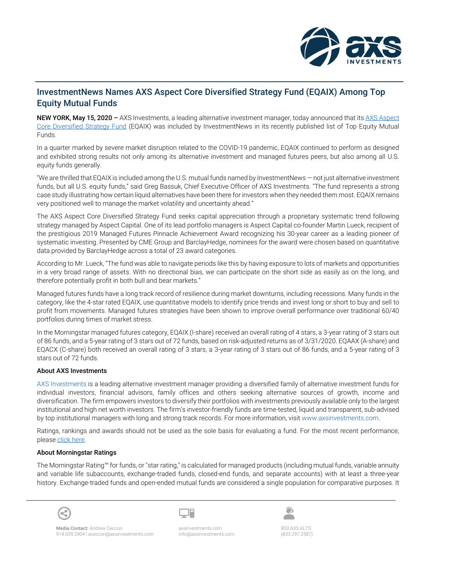

## InvestmentNews Names AXS Aspect Core Diversified Strategy Fund (EQAIX) Among Top Equity Mutual Funds

NEW YORK, May 15, 2020 – AXS Investments, a leading alternative investment manager, today announced that its AXS Aspect [Core Diversified Strategy Fund](https://www.axsinvestments.com/axs-aspect-core-diversified-strategy-fund/) (EQAIX) was included by InvestmentNews in its recently published list of Top Equity Mutual Funds.

In a quarter marked by severe market disruption related to the COVID-19 pandemic, EQAIX continued to perform as designed and exhibited strong results not only among its alternative investment and managed futures peers, but also among all U.S. equity funds generally.

"We are thrilled that EQAIX is included among the U.S. mutual funds named by InvestmentNews — not just alternative investment funds, but all U.S. equity funds," said Greg Bassuk, Chief Executive Officer of AXS Investments. "The fund represents a strong case study illustrating how certain liquid alternatives have been there for investors when they needed them most. EQAIX remains very positioned well to manage the market volatility and uncertainty ahead."

The AXS Aspect Core Diversified Strategy Fund seeks capital appreciation through a proprietary systematic trend following strategy managed by Aspect Capital. One of its lead portfolio managers is Aspect Capital co-founder Martin Lueck, recipient of the prestigious 2019 Managed Futures Pinnacle Achievement Award recognizing his 30-year career as a leading pioneer of systematic investing. Presented by CME Group and BarclayHedge, nominees for the award were chosen based on quantitative data provided by BarclayHedge across a total of 23 award categories.

According to Mr. Lueck, "The fund was able to navigate periods like this by having exposure to lots of markets and opportunities in a very broad range of assets. With no directional bias, we can participate on the short side as easily as on the long, and therefore potentially profit in both bull and bear markets."

Managed futures funds have a long track record of resilience during market downturns, including recessions. Many funds in the category, like the 4-star rated EQAIX, use quantitative models to identify price trends and invest long or short to buy and sell to profit from movements. Managed futures strategies have been shown to improve overall performance over traditional 60/40 portfolios during times of market stress.

In the Morningstar managed futures category, EQAIX (I-share) received an overall rating of 4 stars, a 3-year rating of 3 stars out of 86 funds, and a 5-year rating of 3 stars out of 72 funds, based on risk-adjusted returns as of 3/31/2020. EQAAX (A-share) and EQACX (C-share) both received an overall rating of 3 stars, a 3-year rating of 3 stars out of 86 funds, and a 5-year rating of 3 stars out of 72 funds.

## About AXS Investments

[AXS Investments](http://www.axsinvestments.com/) is a leading alternative investment manager providing a diversified family of alternative investment funds for individual investors, financial advisors, family offices and others seeking alternative sources of growth, income and diversification. The firm empowers investors to diversify their portfolios with investments previously available only to the largest institutional and high net worth investors. The firm's investor-friendly funds are time-tested, liquid and transparent, sub-advised by top institutional managers with long and strong track records. For more information, visit [www.axsinvestments.com.](http://www.axsinvestments.com/)

Ratings, rankings and awards should not be used as the sole basis for evaluating a fund. For the most recent performance, pleas[e click](https://www.axsinvestments.com/download/18/axs-aspect-core-diversified-strategy-fund/434/fact-sheet-5.pdf) here.

## About Morningstar Ratings

The Morningstar Rating™ for funds, or "star rating," is calculated for managed products (including mutual funds, variable annuity and variable life subaccounts, exchange-traded funds, closed-end funds, and separate accounts) with at least a three-year history. Exchange-traded funds and open-ended mutual funds are considered a single population for comparative purposes. It



833.AXS.ALTS (833.297.2587)

◉  $\blacksquare$ 

Media Contact: Andrew Ceccon 914.639.2904 | aceccon@axsinvestments.com axsinvestments.com info@axsinvestments.com